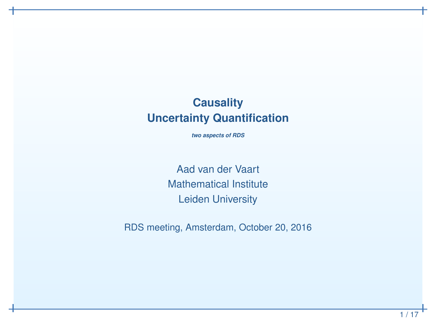## **CausalityUncertainty Quantification**

*two aspects of RDS*

Aad van der Vaart Mathematical InstituteLeiden University

RDS meeting, Amsterdam, October 20, 2016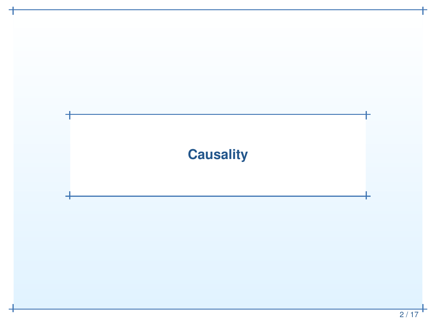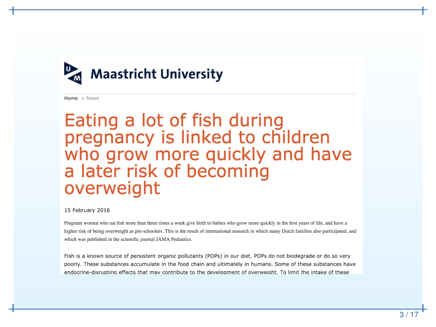

Home  $>$  News

# Eating a lot of fish during pregnancy is linked to children<br>who grow more quickly and have a later risk of becoming overweight

#### 15 February 2016

Pregnant women who eat fish more than three times a week give birth to babies who grow more quickly in the first years of life, and have a higher risk of being overweight as pre-schoolers. This is the result of international research in which many Dutch families also participated, and which was published in the scientific journal JAMA Pediatrics.

Fish is a known source of persistent organic pollutants (POPs) in our diet. POPs do not biodegrade or do so very poorly. These substances accumulate in the food chain and ultimately in humans. Some of these substances have endocrine-disrupting effects that may contribute to the development of overweight. To limit the intake of these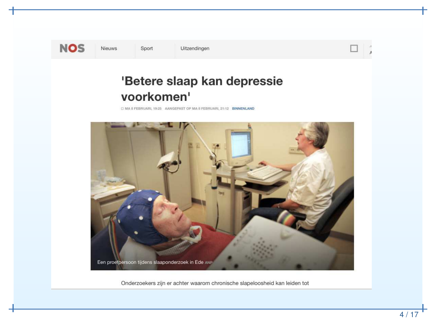

Nieuws

Sport

Uitzendingen

### 'Betere slaap kan depressie voorkomen'

C MA 8 FEBRUARI, 19:25 AANGEPAST OP MA 8 FEBRUARI, 21:12 BINNENLAND



Onderzoekers zijn er achter waarom chronische slapeloosheid kan leiden tot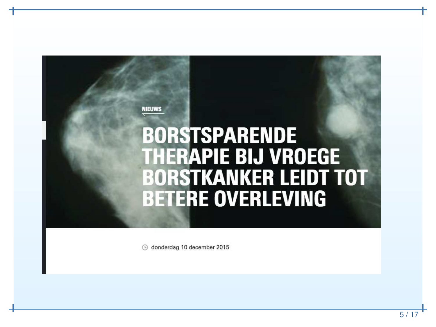#### **NIEUWS**

# **BORSTSPARENDE THERAPIE BIJ VROEGE BORSTKANKER LEIDT TOT BETERE OVERLEVING**

O donderdag 10 december 2015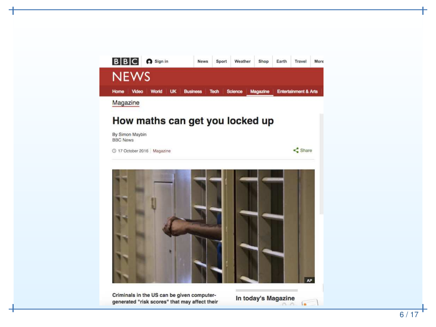

Criminals in the US can be given computergenerated "risk scores" that may affect their

In today's Magazine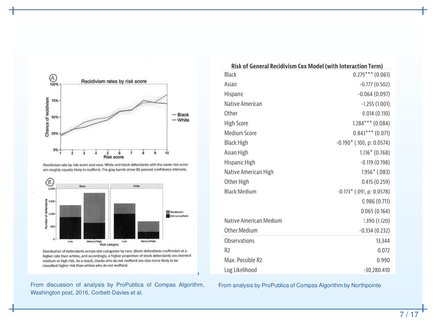

Recidivism rate by risk score and race. White and black defendants with the same risk score are roughly equally likely to reoffend. The gray bands show 95 percent confidence intervals.



Distribution of defendants across risk categories by race. Black defendants reoffended at a higher rate than whites, and accordingly, a higher proportion of black defendants are deemed medium or high risk. As a result, blacks who do not reoffend are also more likely to be classified higher risk than whites who do not reoffend.

From discussion of analysis by ProPublica of Compas Algorithm, Washington post, 2016, Corbett-Davies et al.

,

| Risk of General Recidivism Cox Model (with Interaction Term) |                             |
|--------------------------------------------------------------|-----------------------------|
| Black                                                        | $0.279***$ (0.061)          |
| Asian                                                        | $-0.777(0.502)$             |
| Hispanic                                                     | $-0.064(0.097)$             |
| Native American                                              | $-1.255(1.001)$             |
| Other                                                        | 0.014(0.110)                |
| <b>High Score</b>                                            | $1.284***$ (0.084)          |
| Medium Score                                                 | $0.843***$ (0.071)          |
| Black: High                                                  | $-0.190*$ (.100, p: 0.0574) |
| Asian:High                                                   | $1.316*(0.768)$             |
| Hispanic:High                                                | $-0.119(0.198)$             |
| Native American: High                                        | $1.956*$ (.083)             |
| Other:High                                                   | 0.415(0.259)                |
| Black:Medium                                                 | $-0.173*$ (.091, p: 0.0578) |
|                                                              | 0.986(0.711)                |
|                                                              | 0.065(0.164)                |
| Native American: Medium                                      | 1.390 (1.120)               |
| Other:Medium                                                 | $-0.334(0.232)$             |
| <b>Observations</b>                                          | 13,344                      |
| R <sub>2</sub>                                               | 0.072                       |
| Max. Possible R2                                             | 0.990                       |
| Log Likelihood                                               | $-30,280.410$               |

From analysis by ProPublica of Compas Algorithm by Northpointe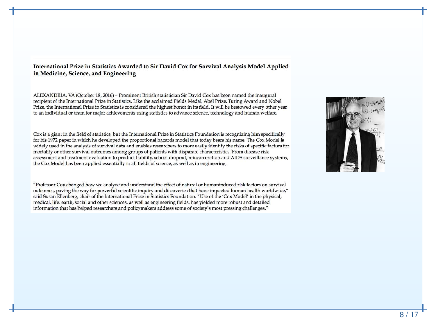#### International Prize in Statistics Awarded to Sir David Cox for Survival Analysis Model Applied in Medicine, Science, and Engineering

ALEXANDRIA, VA (October 18, 2016) – Prominent British statistician Sir David Cox has been named the inaugural recipient of the International Prize in Statistics. Like the acclaimed Fields Medal, Abel Prize, Turing Award and Nobel Prize, the International Prize in Statistics is considered the highest honor in its field. It will be bestowed every other year to an individual or team for major achievements using statistics to advance science, technology and human welfare.

Cox is a giant in the field of statistics, but the International Prize in Statistics Foundation is recognizing him specifically for his 1972 paper in which he developed the proportional hazards model that today bears his name. The Cox Model is widely used in the analysis of survival data and enables researchers to more easily identify the risks of specific factors for mortality or other survival outcomes among groups of patients with disparate characteristics. From disease risk assessment and treatment evaluation to product liability, school dropout, reincarceration and AIDS surveillance systems, the Cox Model has been applied essentially in all fields of science, as well as in engineering.

"Professor Cox changed how we analyze and understand the effect of natural or humaninduced risk factors on survival outcomes, paving the way for powerful scientific inquiry and discoveries that have impacted human health worldwide," said Susan Ellenberg, chair of the International Prize in Statistics Foundation. "Use of the 'Cox Model' in the physical, medical, life, earth, social and other sciences, as well as engineering fields, has yielded more robust and detailed information that has helped researchers and policymakers address some of society's most pressing challenges."

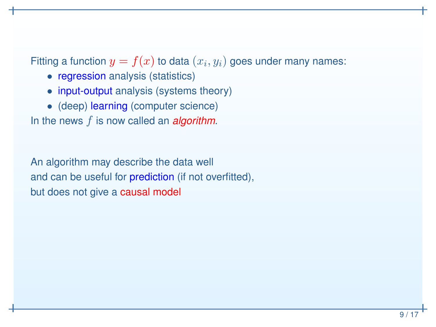Fitting a function  $y=f(x)$  to data  $(x_i,y_i)$  goes under many names:

- **regression** analysis (statistics)
- input-output analysis (systems theory)
- (deep) learning (computer science)

In the news f is now called an *algorithm*.

An algorithm may describe the data well and can be useful for <mark>prediction</mark> (if not overfitted), but does not give a <mark>causal model</mark>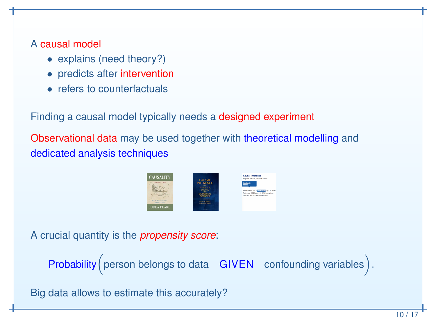# A causal model

- explains (need theory?)
- predicts after intervention
- refers to counterfactuals

Finding <sup>a</sup> causal model typically needs <sup>a</sup> designed experiment

Observational data may be used together with theoretical modelling and dedicated analysis techniques



A crucial quantity is the *propensity score*:

Probability (person belongs to data  $GIVEN$  confounding variables).

Big data allows to estimate this accurately?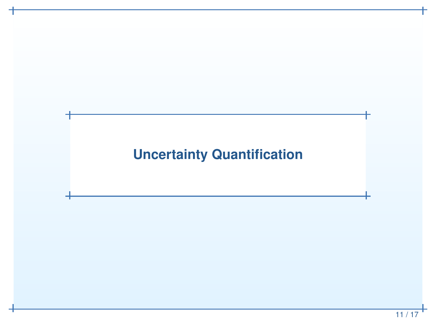# **Uncertainty Quantification**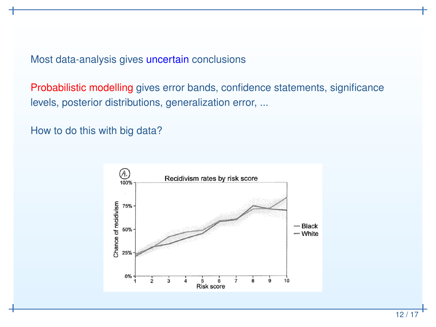Most data-analysis gives <mark>uncertain</mark> conclusions

Probabilistic modelling gives error bands, confidence statements, significance levels, posterior distributions, generalization error, ...

How to do this with big data?

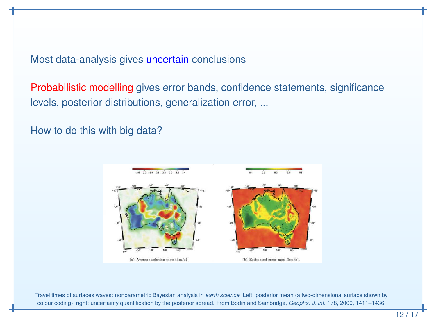Most data-analysis gives <mark>uncertain</mark> conclusions

Probabilistic modelling gives error bands, confidence statements, significance levels, posterior distributions, generalization error, ...

How to do this with big data?



Travel times of surfaces waves: nonparametric Bayesian analysis in *earth science*. Left: posterior mean (a two-dimensional surface shown by colour coding); right: uncertainty quantification by the posterior spread. From Bodin and Sambridge, *Geophs. J. Int.* 178, 2009, 1411–1436.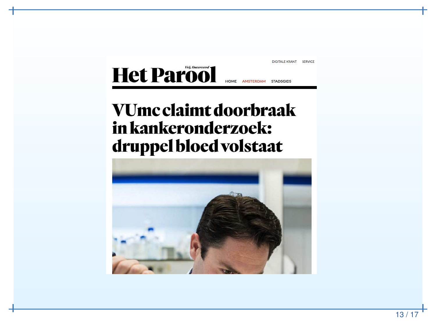

# VUmc claimt doorbraak in kankeronderzoek: druppel bloed volstaat

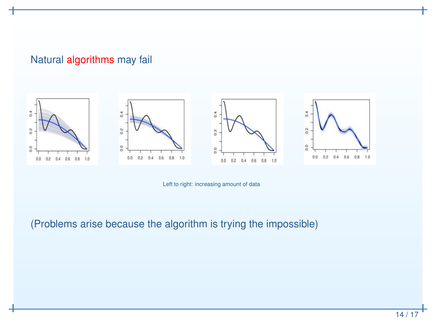### Natural <mark>algorithms</mark> may fail









Left to right: increasing amount of data

(Problems arise because the algorithm is trying the impossible)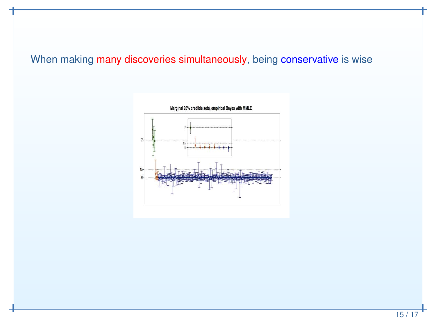## When making <mark>many discoveries simultaneously</mark>, being conservative is wise

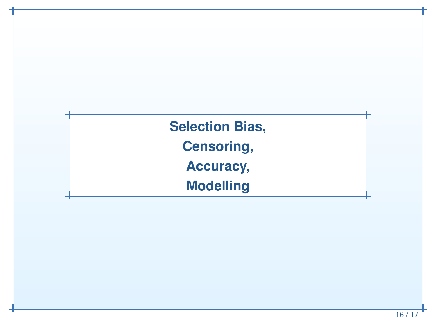**Selection Bias, Censoring,Accuracy,Modelling**